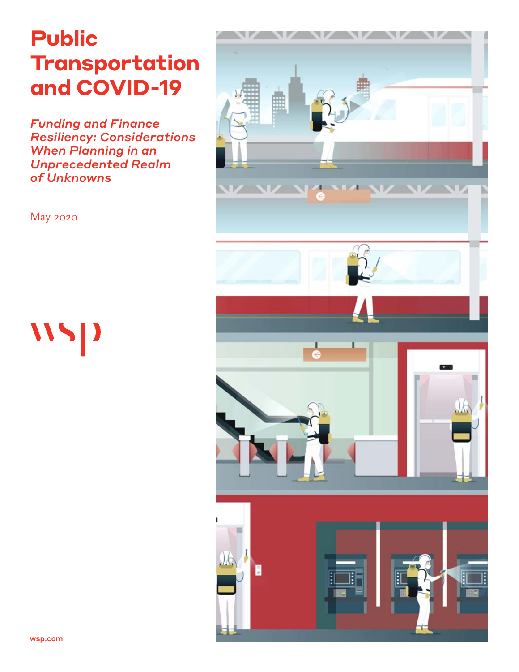# **Public Transportation and COVID-19**

*Funding and Finance Resiliency: Considerations When Planning in an Unprecedented Realm of Unknowns*



May 2020

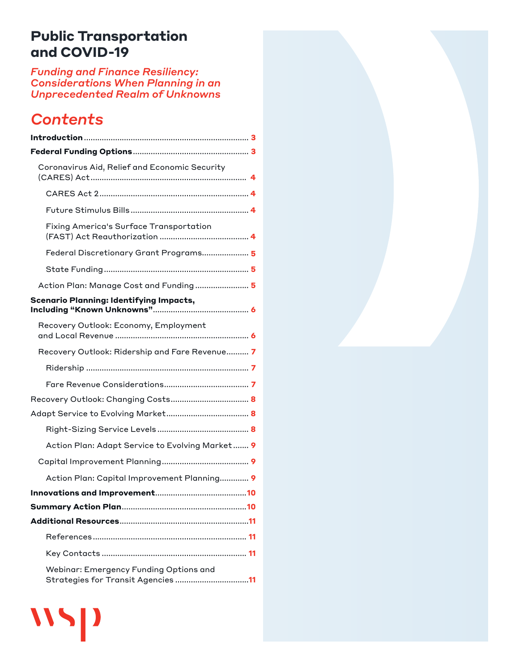# <span id="page-1-0"></span>**Public Transportation and COVID-19**

*Funding and Finance Resiliency: Considerations When Planning in an Unprecedented Realm of Unknowns*

# *Contents*

 $\mathbf{W}$ 

| Coronavirus Aid, Relief and Economic Security                                |  |
|------------------------------------------------------------------------------|--|
|                                                                              |  |
|                                                                              |  |
| Fixing America's Surface Transportation                                      |  |
| Federal Discretionary Grant Programs 5                                       |  |
|                                                                              |  |
| Action Plan: Manage Cost and Funding  5                                      |  |
| <b>Scenario Planning: Identifying Impacts,</b>                               |  |
| Recovery Outlook: Economy, Employment                                        |  |
| Recovery Outlook: Ridership and Fare Revenue 7                               |  |
|                                                                              |  |
|                                                                              |  |
|                                                                              |  |
|                                                                              |  |
|                                                                              |  |
| Action Plan: Adapt Service to Evolving Market 9                              |  |
|                                                                              |  |
| Action Plan: Capital Improvement Planning 9                                  |  |
|                                                                              |  |
|                                                                              |  |
|                                                                              |  |
|                                                                              |  |
|                                                                              |  |
| Webinar: Emergency Funding Options and<br>Strategies for Transit Agencies 11 |  |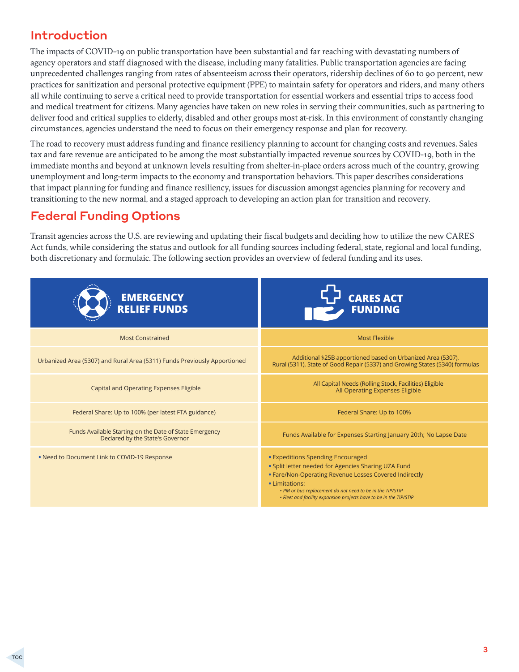# <span id="page-2-0"></span>Introduction

The impacts of COVID-19 on public transportation have been substantial and far reaching with devastating numbers of agency operators and staff diagnosed with the disease, including many fatalities. Public transportation agencies are facing unprecedented challenges ranging from rates of absenteeism across their operators, ridership declines of 60 to 90 percent, new practices for sanitization and personal protective equipment (PPE) to maintain safety for operators and riders, and many others all while continuing to serve a critical need to provide transportation for essential workers and essential trips to access food and medical treatment for citizens. Many agencies have taken on new roles in serving their communities, such as partnering to deliver food and critical supplies to elderly, disabled and other groups most at-risk. In this environment of constantly changing circumstances, agencies understand the need to focus on their emergency response and plan for recovery.

The road to recovery must address funding and finance resiliency planning to account for changing costs and revenues. Sales tax and fare revenue are anticipated to be among the most substantially impacted revenue sources by COVID-19, both in the immediate months and beyond at unknown levels resulting from shelter-in-place orders across much of the country, growing unemployment and long-term impacts to the economy and transportation behaviors. This paper describes considerations that impact planning for funding and finance resiliency, issues for discussion amongst agencies planning for recovery and transitioning to the new normal, and a staged approach to developing an action plan for transition and recovery.

# Federal Funding Options

Transit agencies across the U.S. are reviewing and updating their fiscal budgets and deciding how to utilize the new CARES Act funds, while considering the status and outlook for all funding sources including federal, state, regional and local funding, both discretionary and formulaic. The following section provides an overview of federal funding and its uses.

| <b>EMERGENCY<br/>RELIEF FUNDS</b>                                                           | <b>CARES ACT</b><br><b>FUNDING</b>                                                                                                                                                                                                                                                                      |
|---------------------------------------------------------------------------------------------|---------------------------------------------------------------------------------------------------------------------------------------------------------------------------------------------------------------------------------------------------------------------------------------------------------|
| <b>Most Constrained</b>                                                                     | Most Flexible                                                                                                                                                                                                                                                                                           |
| Urbanized Area (5307) and Rural Area (5311) Funds Previously Apportioned                    | Additional \$25B apportioned based on Urbanized Area (5307),<br>Rural (5311), State of Good Repair (5337) and Growing States (5340) formulas                                                                                                                                                            |
| Capital and Operating Expenses Eligible                                                     | All Capital Needs (Rolling Stock, Facilities) Eligible<br>All Operating Expenses Eligible                                                                                                                                                                                                               |
| Federal Share: Up to 100% (per latest FTA guidance)                                         | Federal Share: Up to 100%                                                                                                                                                                                                                                                                               |
| Funds Available Starting on the Date of State Emergency<br>Declared by the State's Governor | Funds Available for Expenses Starting January 20th; No Lapse Date                                                                                                                                                                                                                                       |
| . Need to Document Link to COVID-19 Response                                                | • Expeditions Spending Encouraged<br>. Split letter needed for Agencies Sharing UZA Fund<br>• Fare/Non-Operating Revenue Losses Covered Indirectly<br>• Limitations:<br>• PM or bus replacement do not need to be in the TIP/STIP<br>• Fleet and facility expansion projects have to be in the TIP/STIP |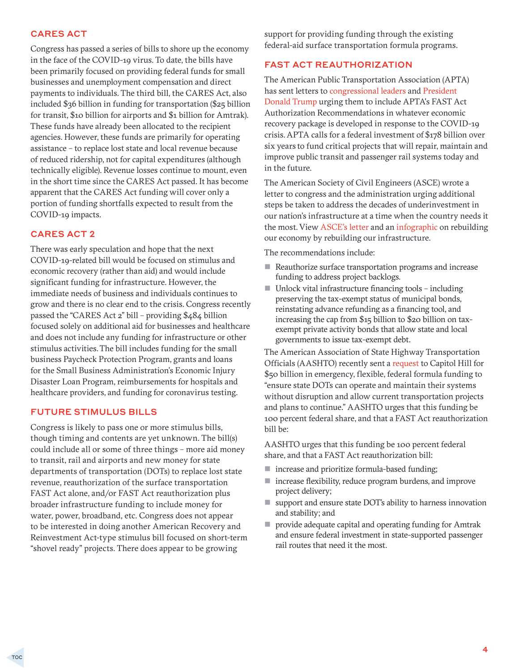#### <span id="page-3-0"></span>CARES ACT

Congress has passed a series of bills to shore up the economy in the face of the COVID-19 virus. To date, the bills have been primarily focused on providing federal funds for small businesses and unemployment compensation and direct payments to individuals. The third bill, the CARES Act, also included \$36 billion in funding for transportation (\$25 billion for transit, \$10 billion for airports and \$1 billion for Amtrak). These funds have already been allocated to the recipient agencies. However, these funds are primarily for operating assistance – to replace lost state and local revenue because of reduced ridership, not for capital expenditures (although technically eligible). Revenue losses continue to mount, even in the short time since the CARES Act passed. It has become apparent that the CARES Act funding will cover only a portion of funding shortfalls expected to result from the COVID-19 impacts.

#### CARES ACT 2

There was early speculation and hope that the next COVID-19-related bill would be focused on stimulus and economic recovery (rather than aid) and would include significant funding for infrastructure. However, the immediate needs of business and individuals continues to grow and there is no clear end to the crisis. Congress recently passed the "CARES Act 2" bill – providing \$484 billion focused solely on additional aid for businesses and healthcare and does not include any funding for infrastructure or other stimulus activities. The bill includes funding for the small business Paycheck Protection Program, grants and loans for the Small Business Administration's Economic Injury Disaster Loan Program, reimbursements for hospitals and healthcare providers, and funding for coronavirus testing.

#### FUTURE STIMULUS BILLS

Congress is likely to pass one or more stimulus bills, though timing and contents are yet unknown. The bill(s) could include all or some of three things – more aid money to transit, rail and airports and new money for state departments of transportation (DOTs) to replace lost state revenue, reauthorization of the surface transportation FAST Act alone, and/or FAST Act reauthorization plus broader infrastructure funding to include money for water, power, broadband, etc. Congress does not appear to be interested in doing another American Recovery and Reinvestment Act-type stimulus bill focused on short-term "shovel ready" projects. There does appear to be growing

support for providing funding through the existing federal-aid surface transportation formula programs.

#### FAST ACT REAUTHORIZATION

The American Public Transportation Association (APTA) has sent letters to [congressional leaders](http://send.apta.com/link.cfm?r=9UwCOkAdVDpbJan-K7BM8Q~~&pe=vevmq5FwpvHue_ldggItt6lZiqrDKcEXzQEsCErRLPM9Ivmn_L3oMMFtzQgfYa6Mn1ILk5975_-AWpm-qU73qA~~&t=EFCE_R3io-0yesJXgkZNDQ~~) and [President](https://www.apta.com/advocacy-legislation-policy/testimony-letters/letters/apta-letter-to-president-trump-on-covid-19-economic-recovery-package/)  [Donald Trump](https://www.apta.com/advocacy-legislation-policy/testimony-letters/letters/apta-letter-to-president-trump-on-covid-19-economic-recovery-package/) urging them to include APTA's FAST Act Authorization Recommendations in whatever economic recovery package is developed in response to the COVID-19 crisis. APTA calls for a federal investment of \$178 billion over six years to fund critical projects that will repair, maintain and improve public transit and passenger rail systems today and in the future.

The American Society of Civil Engineers (ASCE) wrote a letter to congress and the administration urging additional steps be taken to address the decades of underinvestment in our nation's infrastructure at a time when the country needs it the most. View [ASCE's letter](https://higherlogicdownload.s3.amazonaws.com/EWRINSTITUTE/dd5e8702-20c2-413a-a79c-b7cf37b5b459/UploadedImages/ASCE_Letter_to_Congress_and_WH.pdf) and an [infographic](https://higherlogicdownload.s3.amazonaws.com/EWRINSTITUTE/dd5e8702-20c2-413a-a79c-b7cf37b5b459/UploadedImages/ASCE_infographic_C19_Stimulus.pdf) on rebuilding our economy by rebuilding our infrastructure.

The recommendations include:

- Reauthorize surface transportation programs and increase funding to address project backlogs.
- $\blacksquare$  Unlock vital infrastructure financing tools including preserving the tax-exempt status of municipal bonds, reinstating advance refunding as a financing tool, and increasing the cap from \$15 billion to \$20 billion on taxexempt private activity bonds that allow state and local governments to issue tax-exempt debt.

The American Association of State Highway Transportation Officials (AASHTO) recently sent a [request t](https://policy.transportation.org/wp-content/uploads/sites/59/2020/03/2020-03-18-AASHTO-Letter-to-Congress-on-COVID-19-FINAL.pdf)o Capitol Hill for \$50 billion in emergency, flexible, federal formula funding to "ensure state DOTs can operate and maintain their systems without disruption and allow current transportation projects and plans to continue." AASHTO urges that this funding be 100 percent federal share, and that a FAST Act reauthorization bill be:

AASHTO urges that this funding be 100 percent federal share, and that a FAST Act reauthorization bill:

- $\blacksquare$  increase and prioritize formula-based funding;
- $\blacksquare$  increase flexibility, reduce program burdens, and improve project delivery;
- support and ensure state DOT's ability to harness innovation and stability; and
- **P** provide adequate capital and operating funding for Amtrak and ensure federal investment in state-supported passenger rail routes that need it the most.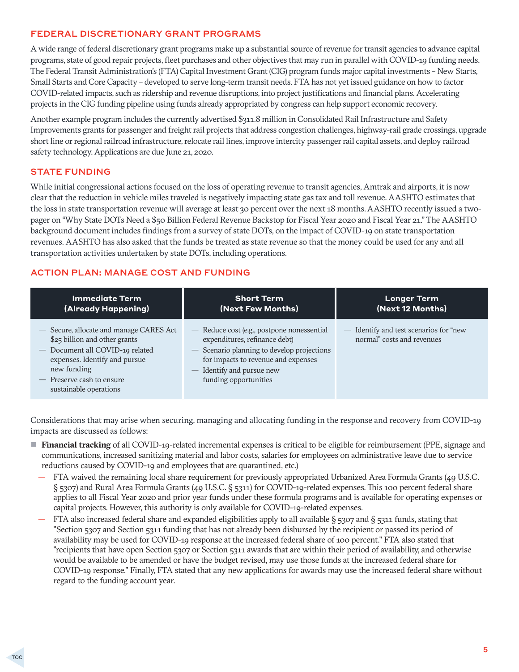#### <span id="page-4-0"></span>FEDERAL DISCRETIONARY GRANT PROGRAMS

A wide range of federal discretionary grant programs make up a substantial source of revenue for transit agencies to advance capital programs, state of good repair projects, fleet purchases and other objectives that may run in parallel with COVID-19 funding needs. The Federal Transit Administration's (FTA) Capital Investment Grant (CIG) program funds major capital investments – New Starts, Small Starts and Core Capacity – developed to serve long-term transit needs. FTA has not yet issued guidance on how to factor COVID-related impacts, such as ridership and revenue disruptions, into project justifications and financial plans. Accelerating projects in the CIG funding pipeline using funds already appropriated by congress can help support economic recovery.

Another example program includes the currently advertised \$311.8 million in Consolidated Rail Infrastructure and Safety Improvements grants for passenger and freight rail projects that address congestion challenges, highway-rail grade crossings, upgrade short line or regional railroad infrastructure, relocate rail lines, improve intercity passenger rail capital assets, and deploy railroad safety technology. Applications are due June 21, 2020.

#### STATE FUNDING

While initial congressional actions focused on the loss of operating revenue to transit agencies, Amtrak and airports, it is now clear that the reduction in vehicle miles traveled is negatively impacting state gas tax and toll revenue. AASHTO estimates that the loss in state transportation revenue will average at least 30 percent over the next 18 months. AASHTO recently issued a twopager on "Why State DOTs Need a \$50 Billion Federal Revenue Backstop for Fiscal Year 2020 and Fiscal Year 21." The AASHTO background document includes findings from a survey of state DOTs, on the impact of COVID-19 on state transportation revenues. AASHTO has also asked that the funds be treated as state revenue so that the money could be used for any and all transportation activities undertaken by state DOTs, including operations.

#### ACTION PLAN: MANAGE COST AND FUNDING

| <b>Immediate Term</b>                                                                                                                                                                                              | <b>Short Term</b>                                                                                                                                                                                                      | <b>Longer Term</b>                                                   |
|--------------------------------------------------------------------------------------------------------------------------------------------------------------------------------------------------------------------|------------------------------------------------------------------------------------------------------------------------------------------------------------------------------------------------------------------------|----------------------------------------------------------------------|
| (Already Happening)                                                                                                                                                                                                | (Next Few Months)                                                                                                                                                                                                      | (Next 12 Months)                                                     |
| - Secure, allocate and manage CARES Act<br>\$25 billion and other grants<br>- Document all COVID-19 related<br>expenses. Identify and pursue<br>new funding<br>- Preserve cash to ensure<br>sustainable operations | - Reduce cost (e.g., postpone nonessential<br>expenditures, refinance debt)<br>- Scenario planning to develop projections<br>for impacts to revenue and expenses<br>- Identify and pursue new<br>funding opportunities | - Identify and test scenarios for "new<br>normal" costs and revenues |

Considerations that may arise when securing, managing and allocating funding in the response and recovery from COVID-19 impacts are discussed as follows:

- **Financial tracking** of all COVID-19-related incremental expenses is critical to be eligible for reimbursement (PPE, signage and communications, increased sanitizing material and labor costs, salaries for employees on administrative leave due to service reductions caused by COVID-19 and employees that are quarantined, etc.)
	- FTA waived the remaining local share requirement for previously appropriated Urbanized Area Formula Grants (49 U.S.C. § 5307) and Rural Area Formula Grants (49 U.S.C. § 5311) for COVID-19-related expenses. This 100 percent federal share applies to all Fiscal Year 2020 and prior year funds under these formula programs and is available for operating expenses or capital projects. However, this authority is only available for COVID-19-related expenses.
	- FTA also increased federal share and expanded eligibilities apply to all available  $\S$  5307 and  $\S$  5311 funds, stating that "Section 5307 and Section 5311 funding that has not already been disbursed by the recipient or passed its period of availability may be used for COVID-19 response at the increased federal share of 100 percent." FTA also stated that "recipients that have open Section 5307 or Section 5311 awards that are within their period of availability, and otherwise would be available to be amended or have the budget revised, may use those funds at the increased federal share for COVID-19 response." Finally, FTA stated that any new applications for awards may use the increased federal share without regard to the funding account year.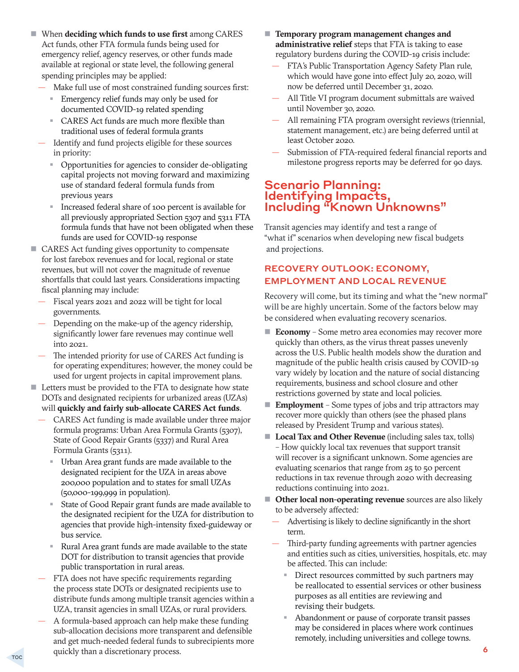- <span id="page-5-0"></span>■ When **deciding which funds to use first** among CARES Act funds, other FTA formula funds being used for emergency relief, agency reserves, or other funds made available at regional or state level, the following general spending principles may be applied:
	- Make full use of most constrained funding sources first:
		- **Emergency relief funds may only be used for** documented COVID-19 related spending
		- CARES Act funds are much more flexible than traditional uses of federal formula grants
	- Identify and fund projects eligible for these sources in priority:
		- Opportunities for agencies to consider de-obligating capital projects not moving forward and maximizing use of standard federal formula funds from previous years
		- Increased federal share of 100 percent is available for all previously appropriated Section 5307 and 5311 FTA formula funds that have not been obligated when these funds are used for COVID-19 response
- CARES Act funding gives opportunity to compensate for lost farebox revenues and for local, regional or state revenues, but will not cover the magnitude of revenue shortfalls that could last years. Considerations impacting fiscal planning may include:
	- Fiscal years 2021 and 2022 will be tight for local governments.
	- Depending on the make-up of the agency ridership, significantly lower fare revenues may continue well into 2021.
	- The intended priority for use of CARES Act funding is for operating expenditures; however, the money could be used for urgent projects in capital improvement plans.
- Letters must be provided to the FTA to designate how state DOTs and designated recipients for urbanized areas (UZAs) will **quickly and fairly sub-allocate CARES Act funds**.
	- CARES Act funding is made available under three major formula programs: Urban Area Formula Grants (5307), State of Good Repair Grants (5337) and Rural Area Formula Grants (5311).
		- Urban Area grant funds are made available to the designated recipient for the UZA in areas above 200,000 population and to states for small UZAs (50,000-199,999 in population).
		- State of Good Repair grant funds are made available to the designated recipient for the UZA for distribution to agencies that provide high-intensity fixed-guideway or bus service.
		- Rural Area grant funds are made available to the state DOT for distribution to transit agencies that provide public transportation in rural areas.
	- FTA does not have specific requirements regarding the process state DOTs or designated recipients use to distribute funds among multiple transit agencies within a UZA, transit agencies in small UZAs, or rural providers.
	- A formula-based approach can help make these funding sub-allocation decisions more transparent and defensible and get much-needed federal funds to subrecipients more quickly than a discretionary process.
- **Temporary program management changes and administrative relief** steps that FTA is taking to ease regulatory burdens during the COVID-19 crisis include:
	- FTA's Public Transportation Agency Safety Plan rule, which would have gone into effect July 20, 2020, will now be deferred until December 31, 2020.
	- All Title VI program document submittals are waived until November 30, 2020.
	- All remaining FTA program oversight reviews (triennial, statement management, etc.) are being deferred until at least October 2020.
	- Submission of FTA-required federal financial reports and milestone progress reports may be deferred for 90 days.

#### Scenario Planning: Identifying Impacts, Including "Known Unknowns"

Transit agencies may identify and test a range of "what if" scenarios when developing new fiscal budgets and projections.

#### RECOVERY OUTLOOK: ECONOMY, EMPLOYMENT AND LOCAL REVENUE

Recovery will come, but its timing and what the "new normal" will be are highly uncertain. Some of the factors below may be considered when evaluating recovery scenarios.

- **Economy** Some metro area economies may recover more quickly than others, as the virus threat passes unevenly across the U.S. Public health models show the duration and magnitude of the public health crisis caused by COVID-19 vary widely by location and the nature of social distancing requirements, business and school closure and other restrictions governed by state and local policies.
- **Employment** Some types of jobs and trip attractors may recover more quickly than others (see the phased plans released by President Trump and various states).
- **Local Tax and Other Revenue** (including sales tax, tolls) – How quickly local tax revenues that support transit will recover is a significant unknown. Some agencies are evaluating scenarios that range from 25 to 50 percent reductions in tax revenue through 2020 with decreasing reductions continuing into 2021.
- **Other local non-operating revenue** sources are also likely to be adversely affected:
	- Advertising is likely to decline significantly in the short term.
	- Third-party funding agreements with partner agencies and entities such as cities, universities, hospitals, etc. may be affected. This can include:
		- Direct resources committed by such partners may be reallocated to essential services or other business purposes as all entities are reviewing and revising their budgets.
		- Abandonment or pause of corporate transit passes may be considered in places where work continues remotely, including universities and college towns.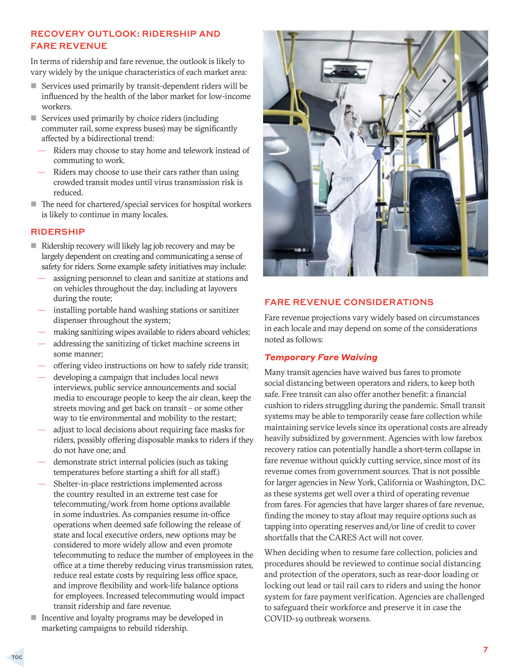#### <span id="page-6-0"></span>RECOVERY OUTLOOK: RIDERSHIP AND FARE REVENUE

In terms of ridership and fare revenue, the outlook is likely to vary widely by the unique characteristics of each market area:

- Services used primarily by transit-dependent riders will be influenced by the health of the labor market for low-income workers.
- Services used primarily by choice riders (including commuter rail, some express buses) may be significantly affected by a bidirectional trend:
	- Riders may choose to stay home and telework instead of commuting to work.
	- Riders may choose to use their cars rather than using crowded transit modes until virus transmission risk is reduced.
- The need for chartered/special services for hospital workers is likely to continue in many locales.

#### RIDERSHIP

- Ridership recovery will likely lag job recovery and may be largely dependent on creating and communicating a sense of safety for riders. Some example safety initiatives may include:
	- assigning personnel to clean and sanitize at stations and on vehicles throughout the day, including at layovers during the route;
	- installing portable hand washing stations or sanitizer dispenser throughout the system;
	- making sanitizing wipes available to riders aboard vehicles;
	- addressing the sanitizing of ticket machine screens in some manner;
	- offering video instructions on how to safely ride transit;
	- developing a campaign that includes local news interviews, public service announcements and social media to encourage people to keep the air clean, keep the streets moving and get back on transit – or some other way to tie environmental and mobility to the restart;
	- adjust to local decisions about requiring face masks for riders, possibly offering disposable masks to riders if they do not have one; and
	- demonstrate strict internal policies (such as taking temperatures before starting a shift for all staff.)
	- Shelter-in-place restrictions implemented across the country resulted in an extreme test case for telecommuting/work from home options available in some industries. As companies resume in-office operations when deemed safe following the release of state and local executive orders, new options may be considered to more widely allow and even promote telecommuting to reduce the number of employees in the office at a time thereby reducing virus transmission rates, reduce real estate costs by requiring less office space, and improve flexibility and work-life balance options for employees. Increased telecommuting would impact transit ridership and fare revenue.
- Incentive and loyalty programs may be developed in marketing campaigns to rebuild ridership.



#### FARE REVENUE CONSIDERATIONS

Fare revenue projections vary widely based on circumstances in each locale and may depend on some of the considerations noted as follows:

#### *Temporary Fare Waiving*

Many transit agencies have waived bus fares to promote social distancing between operators and riders, to keep both safe. Free transit can also offer another benefit: a financial cushion to riders struggling during the pandemic. Small transit systems may be able to temporarily cease fare collection while maintaining service levels since its operational costs are already heavily subsidized by government. Agencies with low farebox recovery ratios can potentially handle a short-term collapse in fare revenue without quickly cutting service, since most of its revenue comes from government sources. That is not possible for larger agencies in New York, California or Washington, D.C. as these systems get well over a third of operating revenue from fares. For agencies that have larger shares of fare revenue, finding the money to stay afloat may require options such as tapping into operating reserves and/or line of credit to cover shortfalls that the CARES Act will not cover.

When deciding when to resume fare collection, policies and procedures should be reviewed to continue social distancing and protection of the operators, such as rear-door loading or locking out lead or tail rail cars to riders and using the honor system for fare payment verification. Agencies are challenged to safeguard their workforce and preserve it in case the COVID-19 outbreak worsens.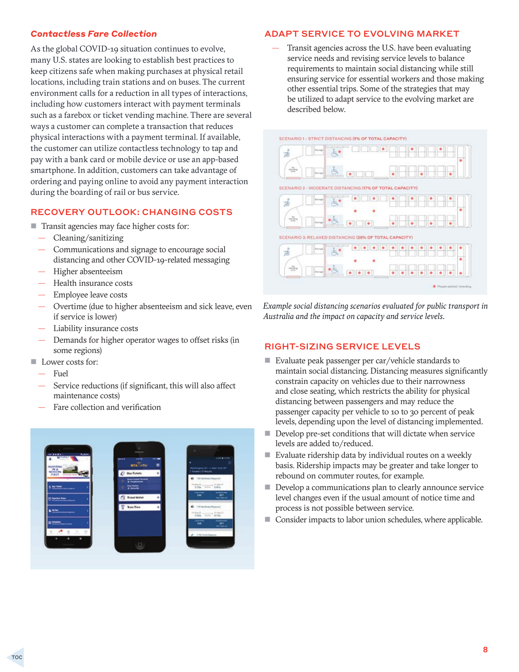#### <span id="page-7-0"></span>*Contactless Fare Collection*

As the global COVID-19 situation continues to evolve, many U.S. states are looking to establish best practices to keep citizens safe when making purchases at physical retail locations, including train stations and on buses. The current environment calls for a reduction in all types of interactions, including how customers interact with payment terminals such as a farebox or ticket vending machine. There are several ways a customer can complete a transaction that reduces physical interactions with a payment terminal. If available, the customer can utilize contactless technology to tap and pay with a bank card or mobile device or use an app-based smartphone. In addition, customers can take advantage of ordering and paying online to avoid any payment interaction during the boarding of rail or bus service.

#### RECOVERY OUTLOOK: CHANGING COSTS

- Transit agencies may face higher costs for:
	- Cleaning/sanitizing
	- Communications and signage to encourage social distancing and other COVID-19-related messaging
	- Higher absenteeism
	- Health insurance costs
	- Employee leave costs
	- Overtime (due to higher absenteeism and sick leave, even if service is lower)
	- Liability insurance costs
	- Demands for higher operator wages to offset risks (in some regions)
- **Lower costs for:** 
	- Fuel
	- Service reductions (if significant, this will also affect maintenance costs)
	- Fare collection and verification



#### ADAPT SERVICE TO EVOLVING MARKET

— Transit agencies across the U.S. have been evaluating service needs and revising service levels to balance requirements to maintain social distancing while still ensuring service for essential workers and those making other essential trips. Some of the strategies that may be utilized to adapt service to the evolving market are described below.



*Example social distancing scenarios evaluated for public transport in Australia and the impact on capacity and service levels.*

#### RIGHT-SIZING SERVICE LEVELS

- Evaluate peak passenger per car/vehicle standards to maintain social distancing. Distancing measures significantly constrain capacity on vehicles due to their narrowness and close seating, which restricts the ability for physical distancing between passengers and may reduce the passenger capacity per vehicle to 10 to 30 percent of peak levels, depending upon the level of distancing implemented.
- Develop pre-set conditions that will dictate when service levels are added to/reduced.
- Evaluate ridership data by individual routes on a weekly basis. Ridership impacts may be greater and take longer to rebound on commuter routes, for example.
- Develop a communications plan to clearly announce service level changes even if the usual amount of notice time and process is not possible between service.
- Consider impacts to labor union schedules, where applicable.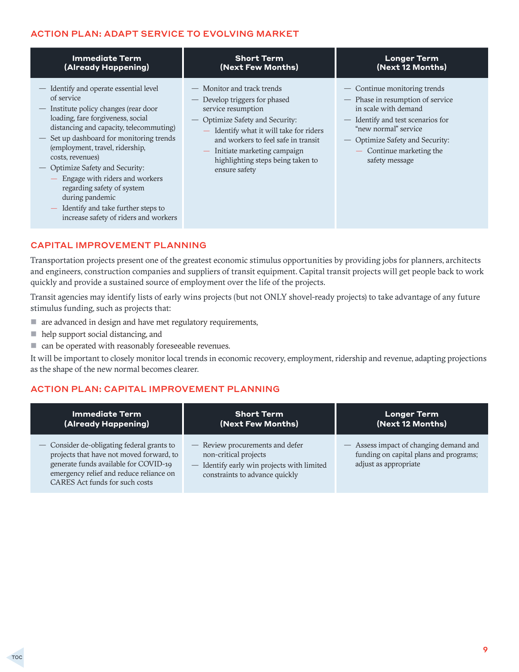#### <span id="page-8-0"></span>ACTION PLAN: ADAPT SERVICE TO EVOLVING MARKET

| <b>Immediate Term</b>                                                                                                                                                                                                                                                                                                                                                                                                                                                                   | <b>Short Term</b>                                                                                                                                                                                                                                                                           | <b>Longer Term</b>                                                                                                                                                                                                                     |
|-----------------------------------------------------------------------------------------------------------------------------------------------------------------------------------------------------------------------------------------------------------------------------------------------------------------------------------------------------------------------------------------------------------------------------------------------------------------------------------------|---------------------------------------------------------------------------------------------------------------------------------------------------------------------------------------------------------------------------------------------------------------------------------------------|----------------------------------------------------------------------------------------------------------------------------------------------------------------------------------------------------------------------------------------|
| (Already Happening)                                                                                                                                                                                                                                                                                                                                                                                                                                                                     | (Next Few Months)                                                                                                                                                                                                                                                                           | (Next 12 Months)                                                                                                                                                                                                                       |
| - Identify and operate essential level<br>of service<br>- Institute policy changes (rear door<br>loading, fare forgiveness, social<br>distancing and capacity, telecommuting)<br>- Set up dashboard for monitoring trends<br>(employment, travel, ridership,<br>costs, revenues)<br>- Optimize Safety and Security:<br>Engage with riders and workers<br>regarding safety of system<br>during pandemic<br>- Identify and take further steps to<br>increase safety of riders and workers | - Monitor and track trends<br>- Develop triggers for phased<br>service resumption<br>Optimize Safety and Security:<br>- Identify what it will take for riders<br>and workers to feel safe in transit<br>- Initiate marketing campaign<br>highlighting steps being taken to<br>ensure safety | - Continue monitoring trends<br>- Phase in resumption of service<br>in scale with demand<br>- Identify and test scenarios for<br>"new normal" service<br>- Optimize Safety and Security:<br>- Continue marketing the<br>safety message |

#### CAPITAL IMPROVEMENT PLANNING

Transportation projects present one of the greatest economic stimulus opportunities by providing jobs for planners, architects and engineers, construction companies and suppliers of transit equipment. Capital transit projects will get people back to work quickly and provide a sustained source of employment over the life of the projects.

Transit agencies may identify lists of early wins projects (but not ONLY shovel-ready projects) to take advantage of any future stimulus funding, such as projects that:

- $\blacksquare$  are advanced in design and have met regulatory requirements,
- help support social distancing, and
- can be operated with reasonably foreseeable revenues.

It will be important to closely monitor local trends in economic recovery, employment, ridership and revenue, adapting projections as the shape of the new normal becomes clearer.

#### ACTION PLAN: CAPITAL IMPROVEMENT PLANNING

| <b>Immediate Term</b>                                                                                                                                                                                        | <b>Short Term</b>                                                                                                                        | <b>Longer Term</b>                                                                                        |
|--------------------------------------------------------------------------------------------------------------------------------------------------------------------------------------------------------------|------------------------------------------------------------------------------------------------------------------------------------------|-----------------------------------------------------------------------------------------------------------|
| (Already Happening)                                                                                                                                                                                          | (Next Few Months)                                                                                                                        | (Next 12 Months)                                                                                          |
| - Consider de-obligating federal grants to<br>projects that have not moved forward, to<br>generate funds available for COVID-19<br>emergency relief and reduce reliance on<br>CARES Act funds for such costs | - Review procurements and defer<br>non-critical projects<br>- Identify early win projects with limited<br>constraints to advance quickly | - Assess impact of changing demand and<br>funding on capital plans and programs;<br>adjust as appropriate |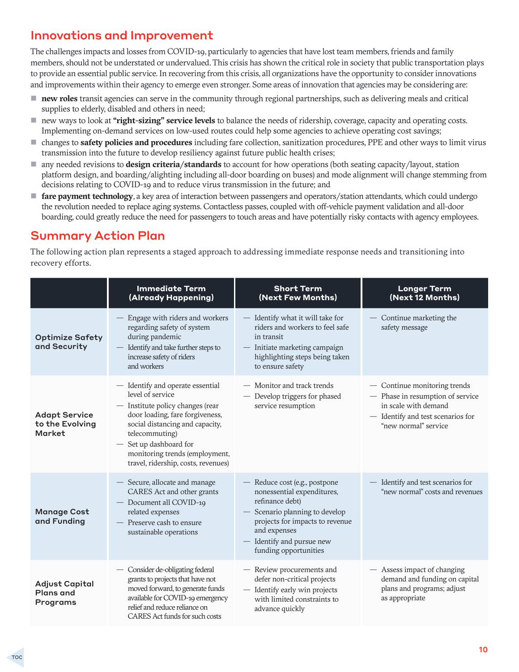# <span id="page-9-0"></span>Innovations and Improvement

The challenges impacts and losses from COVID-19, particularly to agencies that have lost team members, friends and family members, should not be understated or undervalued. This crisis has shown the critical role in society that public transportation plays to provide an essential public service. In recovering from this crisis, all organizations have the opportunity to consider innovations and improvements within their agency to emerge even stronger. Some areas of innovation that agencies may be considering are:

- **new roles** transit agencies can serve in the community through regional partnerships, such as delivering meals and critical supplies to elderly, disabled and others in need;
- new ways to look at **"right-sizing" service levels** to balance the needs of ridership, coverage, capacity and operating costs. Implementing on-demand services on low-used routes could help some agencies to achieve operating cost savings;
- changes to **safety policies and procedures** including fare collection, sanitization procedures, PPE and other ways to limit virus transmission into the future to develop resiliency against future public health crises;
- any needed revisions to **design criteria/standards** to account for how operations (both seating capacity/layout, station platform design, and boarding/alighting including all-door boarding on buses) and mode alignment will change stemming from decisions relating to COVID-19 and to reduce virus transmission in the future; and
- **fare payment technology**, a key area of interaction between passengers and operators/station attendants, which could undergo the revolution needed to replace aging systems. Contactless passes, coupled with off-vehicle payment validation and all-door boarding, could greatly reduce the need for passengers to touch areas and have potentially risky contacts with agency employees.

### Summary Action Plan

The following action plan represents a staged approach to addressing immediate response needs and transitioning into recovery efforts.

|                                                          | <b>Immediate Term</b><br>(Already Happening)                                                                                                                                                                                                                                        | <b>Short Term</b><br>(Next Few Months)                                                                                                                                                                                    | <b>Longer Term</b><br>(Next 12 Months)                                                                                                                |
|----------------------------------------------------------|-------------------------------------------------------------------------------------------------------------------------------------------------------------------------------------------------------------------------------------------------------------------------------------|---------------------------------------------------------------------------------------------------------------------------------------------------------------------------------------------------------------------------|-------------------------------------------------------------------------------------------------------------------------------------------------------|
| <b>Optimize Safety</b><br>and Security                   | Engage with riders and workers<br>regarding safety of system<br>during pandemic<br>Identify and take further steps to<br>increase safety of riders<br>and workers                                                                                                                   | - Identify what it will take for<br>riders and workers to feel safe<br>in transit<br>- Initiate marketing campaign<br>highlighting steps being taken<br>to ensure safety                                                  | - Continue marketing the<br>safety message                                                                                                            |
| <b>Adapt Service</b><br>to the Evolving<br><b>Market</b> | - Identify and operate essential<br>level of service<br>- Institute policy changes (rear<br>door loading, fare forgiveness,<br>social distancing and capacity,<br>telecommuting)<br>- Set up dashboard for<br>monitoring trends (employment,<br>travel, ridership, costs, revenues) | - Monitor and track trends<br>- Develop triggers for phased<br>service resumption                                                                                                                                         | - Continue monitoring trends<br>- Phase in resumption of service<br>in scale with demand<br>- Identify and test scenarios for<br>"new normal" service |
| <b>Manage Cost</b><br>and Funding                        | - Secure, allocate and manage<br>CARES Act and other grants<br>- Document all COVID-19<br>related expenses<br>- Preserve cash to ensure<br>sustainable operations                                                                                                                   | - Reduce cost (e.g., postpone<br>nonessential expenditures,<br>refinance debt)<br>- Scenario planning to develop<br>projects for impacts to revenue<br>and expenses<br>- Identify and pursue new<br>funding opportunities | - Identify and test scenarios for<br>"new normal" costs and revenues                                                                                  |
| <b>Adjust Capital</b><br><b>Plans and</b><br>Programs    | - Consider de-obligating federal<br>grants to projects that have not<br>moved forward, to generate funds<br>available for COVID-19 emergency<br>relief and reduce reliance on<br>CARES Act funds for such costs                                                                     | - Review procurements and<br>defer non-critical projects<br>- Identify early win projects<br>with limited constraints to<br>advance quickly                                                                               | - Assess impact of changing<br>demand and funding on capital<br>plans and programs; adjust<br>as appropriate                                          |